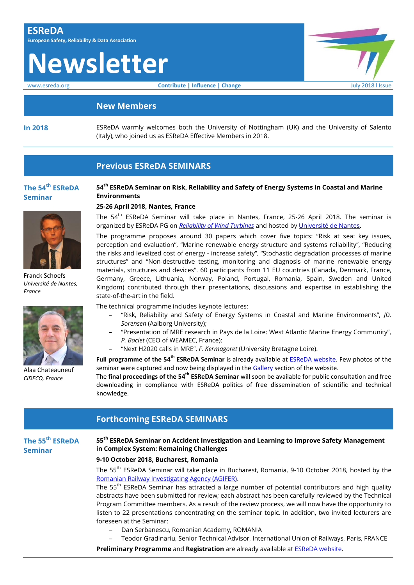# **Newsletter**

www.esreda.org **Contribute | Influence | Change Change** July 2018 l Issue

#### **New Members**

**In 2018** ESReDA warmly welcomes both the University of Nottingham (UK) and the University of Salento (Italy), who joined us as ESReDA Effective Members in 2018.

### **Previous ESReDA SEMINARS**

#### **The 54th ESReDA Seminar**



Franck Schoefs *Université de Nantes, France*



Alaa Chateauneuf *CIDECO, France*

#### **54th ESReDA Seminar on Risk, Reliability and Safety of Energy Systems in Coastal and Marine Environments**

#### **25-26 April 2018, Nantes, France**

The 54<sup>th</sup> ESReDA Seminar will take place in Nantes, France, 25-26 April 2018. The seminar is organized by ESReDA PG on *[Reliability of Wind Turbines](https://www.esreda.org/projectcasestudy/reliability-of-wind-turbines/)* and hosted by [Université de Nantes](http://www.univ-nantes.fr/english-version/).

The programme proposes around 30 papers which cover five topics: "Risk at sea: key issues, perception and evaluation", "Marine renewable energy structure and systems reliability", "Reducing the risks and levelized cost of energy - increase safety", "Stochastic degradation processes of marine structures" and "Non-destructive testing, monitoring and diagnosis of marine renewable energy materials, structures and devices". 60 participants from 11 EU countries (Canada, Denmark, France, Germany, Greece, Lithuania, Norway, Poland, Portugal, Romania, Spain, Sweden and United Kingdom) contributed through their presentations, discussions and expertise in establishing the state-of-the-art in the field.

The technical programme includes keynote lectures:

- ‒ "Risk, Reliability and Safety of Energy Systems in Coastal and Marine Environments", *JD. Sorensen* (Aalborg University);
- ‒ "Presentation of MRE research in Pays de la Loire: West Atlantic Marine Energy Community", *P. Baclet* (CEO of WEAMEC, France);
- ‒ "Next H2020 calls in MRE", *F. Kermagoret* (University Bretagne Loire).

**Full programme of the 54<sup>th</sup> ESReDA Seminar** is already available at **ESReDA website**. Few photos of the seminar were captured and now being displayed in the [Gallery](https://www.esreda.org/gallery/) section of the website.

The final proceedings of the 54<sup>th</sup> ESReDA Seminar will soon be available for public consultation and free downloading in compliance with ESReDA politics of free dissemination of scientific and technical knowledge.

### **Forthcoming ESReDA SEMINARS The 55th ESReDA Seminar 55th ESReDA Seminar on Accident Investigation and Learning to Improve Safety Management in Complex System: Remaining Challenges 9-10 October 2018, Bucharest, Romania** The 55<sup>th</sup> ESReDA Seminar will take place in Bucharest, Romania, 9-10 October 2018, hosted by the [Romanian Railway Investigating Agency \(AGIFER\).](http://www.agifer.ro/) The 55<sup>th</sup> ESReDA Seminar has attracted a large number of potential contributors and high quality abstracts have been submitted for review; each abstract has been carefully reviewed by the Technical Program Committee members. As a result of the review process, we will now have the opportunity to listen to 22 presentations concentrating on the seminar topic. In addition, two invited lecturers are foreseen at the Seminar:

- Dan Serbanescu, Romanian Academy, ROMANIA
- Teodor Gradinariu, Senior Technical Advisor, International Union of Railways, Paris, FRANCE

**Preliminary Programme** and **Registration** are already available at **ESReDA** website.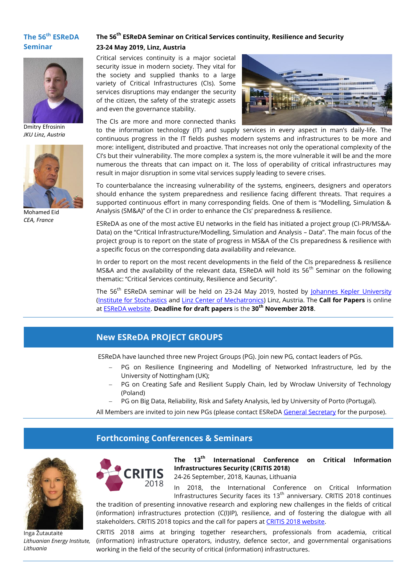#### **The 56 th ESReDA Seminar**



Dmitry Efrosinin *JKU Linz, Austria*



Mohamed Eid *CEA, France*

#### **The 56th ESReDA Seminar on Critical Services continuity, Resilience and Security 23-24 May 2019, Linz, Austria**

Critical services continuity is a major societal security issue in modern society. They vital for the society and supplied thanks to a large variety of Critical Infrastructures (CIs). Some services disruptions may endanger the security of the citizen, the safety of the strategic assets and even the governance stability.

The CIs are more and more connected thanks



to the information technology (IT) and supply services in every aspect in man's daily-life. The continuous progress in the IT fields pushes modern systems and infrastructures to be more and more: intelligent, distributed and proactive. That increases not only the operational complexity of the CI's but their vulnerability. The more complex a system is, the more vulnerable it will be and the more numerous the threats that can impact on it. The loss of operability of critical infrastructures may result in major disruption in some vital services supply leading to severe crises.

To counterbalance the increasing vulnerability of the systems, engineers, designers and operators should enhance the system preparedness and resilience facing different threats. That requires a supported continuous effort in many corresponding fields. One of them is "Modelling, Simulation & Analysis (SM&A)" of the CI in order to enhance the CIs' preparedness & resilience.

ESReDA as one of the most active EU networks in the field has initiated a project group (CI‐PR/MS&A‐ Data) on the "Critical Infrastructure/Modelling, Simulation and Analysis – Data". The main focus of the project group is to report on the state of progress in MS&A of the CIs preparedness & resilience with a specific focus on the corresponding data availability and relevance.

In order to report on the most recent developments in the field of the CIs preparedness & resilience MS&A and the availability of the relevant data, ESReDA will hold its 56<sup>th</sup> Seminar on the following thematic: "Critical Services continuity, Resilience and Security".

The 56<sup>th</sup> ESReDA seminar will be held on 23-24 May 2019, hosted by [Johannes Kepler University](http://www.jku.at/) [\(Institute for Stochastics](http://www.jku.at/stochastik) and [Linz Center of Mechatronics\)](http://www.lcm.at/) Linz, Austria. The **Call for Papers** is online at [ESReDA website.](https://www.esreda.org/event/56th-esreda-seminar/) **Deadline for draft papers** is the **30th November 2018**.

# **New ESReDA PROJECT GROUPS**

ESReDA have launched three new Project Groups (PG). Join new PG, contact leaders of PGs.

- PG on Resilience Engineering and Modelling of Networked Infrastructure, led by the University of Nottingham (UK);
- PG on Creating Safe and Resilient Supply Chain, led by Wrocław University of Technology (Poland)

PG on Big Data, Reliability, Risk and Safety Analysis, led by University of Porto (Portugal).

All Members are invited to join new PGs (please contact ESReDA [General Secretary](mailto:inga.zutautaite@lei.lt) for the purpose).

## **Forthcoming Conferences & Seminars**



Inga Žutautaitė *Lithuanian Energy Institute, Lithuania*



**The 13th International Conference on Critical Information Infrastructures Security (CRITIS 2018)**

24-26 September, 2018, Kaunas, Lithuania

In 2018, the International Conference on Critical Information Infrastructures Security faces its  $13<sup>th</sup>$  anniversary. CRITIS 2018 continues

the tradition of presenting innovative research and exploring new challenges in the fields of critical (information) infrastructures protection (C(I)IP), resilience, and of fostering the dialogue with all stakeholders. CRITIS 2018 topics and the call for papers at [CRITIS 2018 website.](http://www.lei.lt/critis2018/call-for-papers.html)

CRITIS 2018 aims at bringing together researchers, professionals from academia, critical (information) infrastructure operators, industry, defence sector, and governmental organisations working in the field of the security of critical (information) infrastructures.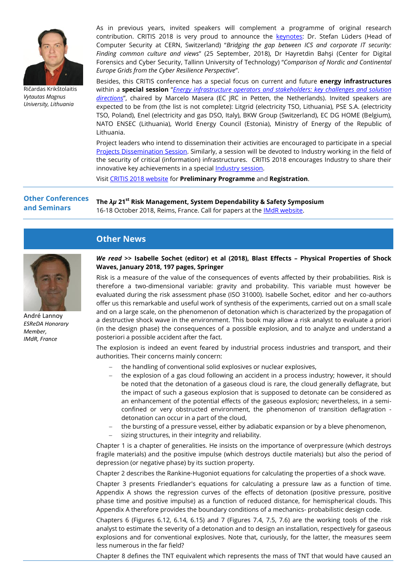

Ričardas Krikštolaitis *Vytautas Magnus University, Lithuania*

As in previous years, invited speakers will complement a programme of original research contribution. CRITIS 2018 is very proud to announce the [keynotes](http://www.lei.lt/critis2018/speakers.html): Dr. Stefan Lüders (Head of Computer Security at CERN, Switzerland) "*Bridging the gap between ICS and corporate IT security: Finding common culture and views*" (25 September, 2018), Dr Hayretdin Bahşi (Center for Digital Forensics and Cyber Security, Tallinn University of Technology) "*Comparison of Nordic and Continental Europe Grids from the Cyber Resilience Perspective*".

Besides, this CRITIS conference has a special focus on current and future **energy infrastructures** within a **special session** "*[Energy infrastructure operators and stakeholders: key challenges and solution](http://www.lei.lt/critis2018/operators.html)  [directions](http://www.lei.lt/critis2018/operators.html)*", chaired by Marcelo Masera (EC JRC in Petten, the Netherlands). Invited speakers are expected to be from (the list is not complete): Litgrid (electricity TSO, Lithuania), PSE S.A. (electricity TSO, Poland), Enel (electricity and gas DSO, Italy), BKW Group (Switzerland), EC DG HOME (Belgium), NATO ENSEC (Lithuania), World Energy Council (Estonia), Ministry of Energy of the Republic of Lithuania.

Project leaders who intend to dissemination their activities are encouraged to participate in a special [Projects Dissemination Session.](http://www.lei.lt/critis2018/projects.html) Similarly, a session will be devoted to Industry working in the field of the security of critical (information) infrastructures. CRITIS 2018 encourages Industry to share their innovative key achievements in a special [Industry session.](http://www.lei.lt/critis2018/industry.html)

Visi[t CRITIS 2018 website](http://www.lei.lt/critis2018/index.html) for **Preliminary Programme** and **Registration**.

#### **Other Conferences and Seminars The** *λμ* **21st Risk Management, System Dependability & Safety Symposium** 16-18 October 2018, Reims, France. Call for papers at the [IMdR website.](https://www.en.imdr.eu/upload/client/document_site/LM21/LM_21_AAC_ENG.pdf)

# **Other News**



André Lannoy *ESReDA Honorary Member, IMdR, France*

#### *We read* **>> Isabelle Sochet (editor) et al (2018), Blast Effects – Physical Properties of Shock Waves, January 2018, 197 pages, Springer**

Risk is a measure of the value of the consequences of events affected by their probabilities. Risk is therefore a two-dimensional variable: gravity and probability. This variable must however be evaluated during the risk assessment phase (ISO 31000). Isabelle Sochet, editor and her co-authors offer us this remarkable and useful work of synthesis of the experiments, carried out on a small scale and on a large scale, on the phenomenon of detonation which is characterized by the propagation of a destructive shock wave in the environment. This book may allow a risk analyst to evaluate a priori (in the design phase) the consequences of a possible explosion, and to analyze and understand a posteriori a possible accident after the fact.

The explosion is indeed an event feared by industrial process industries and transport, and their authorities. Their concerns mainly concern:

- the handling of conventional solid explosives or nuclear explosives,
- the explosion of a gas cloud following an accident in a process industry; however, it should be noted that the detonation of a gaseous cloud is rare, the cloud generally deflagrate, but the impact of such a gaseous explosion that is supposed to detonate can be considered as an enhancement of the potential effects of the gaseous explosion; nevertheless, in a semiconfined or very obstructed environment, the phenomenon of transition deflagration detonation can occur in a part of the cloud,
- the bursting of a pressure vessel, either by adiabatic expansion or by a bleve phenomenon,
- sizing structures, in their integrity and reliability.

Chapter 1 is a chapter of generalities. He insists on the importance of overpressure (which destroys fragile materials) and the positive impulse (which destroys ductile materials) but also the period of depression (or negative phase) by its suction property.

Chapter 2 describes the Rankine-Hugoniot equations for calculating the properties of a shock wave.

Chapter 3 presents Friedlander's equations for calculating a pressure law as a function of time. Appendix A shows the regression curves of the effects of detonation (positive pressure, positive phase time and positive impulse) as a function of reduced distance, for hemispherical clouds. This Appendix A therefore provides the boundary conditions of a mechanics- probabilistic design code.

Chapters 6 (Figures 6.12, 6.14, 6.15) and 7 (Figures 7.4, 7.5, 7.6) are the working tools of the risk analyst to estimate the severity of a detonation and to design an installation, respectively for gaseous explosions and for conventional explosives. Note that, curiously, for the latter, the measures seem less numerous in the far field?

Chapter 8 defines the TNT equivalent which represents the mass of TNT that would have caused an